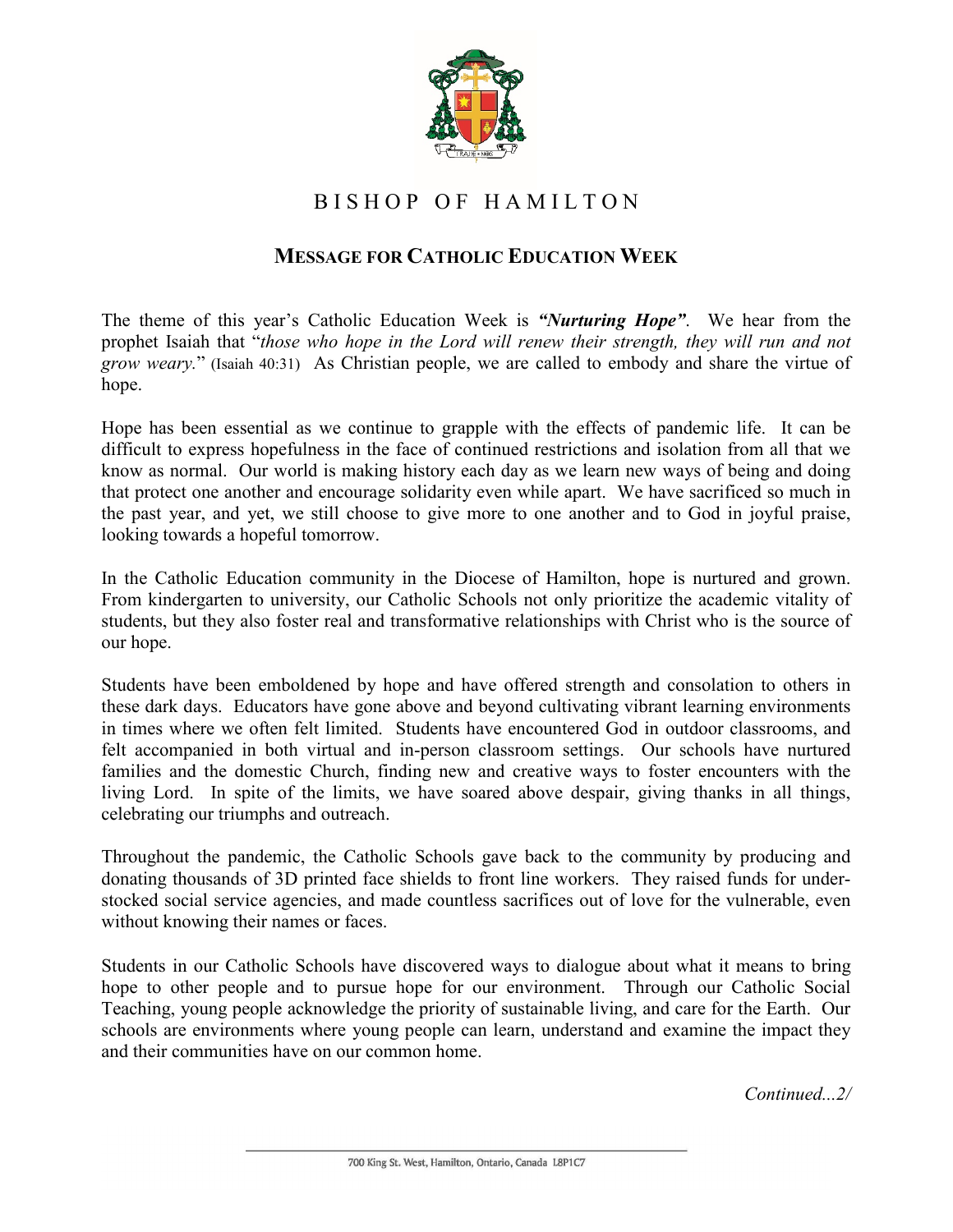

## BISHOP OF HAMILTON

## **MESSAGE FOR CATHOLIC EDUCATION WEEK**

The theme of this year's Catholic Education Week is *"Nurturing Hope"*. We hear from the prophet Isaiah that "*those who hope in the Lord will renew their strength, they will run and not grow weary.*" (Isaiah 40:31) As Christian people, we are called to embody and share the virtue of hope.

Hope has been essential as we continue to grapple with the effects of pandemic life. It can be difficult to express hopefulness in the face of continued restrictions and isolation from all that we know as normal. Our world is making history each day as we learn new ways of being and doing that protect one another and encourage solidarity even while apart. We have sacrificed so much in the past year, and yet, we still choose to give more to one another and to God in joyful praise, looking towards a hopeful tomorrow.

In the Catholic Education community in the Diocese of Hamilton, hope is nurtured and grown. From kindergarten to university, our Catholic Schools not only prioritize the academic vitality of students, but they also foster real and transformative relationships with Christ who is the source of our hope.

Students have been emboldened by hope and have offered strength and consolation to others in these dark days. Educators have gone above and beyond cultivating vibrant learning environments in times where we often felt limited. Students have encountered God in outdoor classrooms, and felt accompanied in both virtual and in-person classroom settings. Our schools have nurtured families and the domestic Church, finding new and creative ways to foster encounters with the living Lord. In spite of the limits, we have soared above despair, giving thanks in all things, celebrating our triumphs and outreach.

Throughout the pandemic, the Catholic Schools gave back to the community by producing and donating thousands of 3D printed face shields to front line workers. They raised funds for understocked social service agencies, and made countless sacrifices out of love for the vulnerable, even without knowing their names or faces.

Students in our Catholic Schools have discovered ways to dialogue about what it means to bring hope to other people and to pursue hope for our environment. Through our Catholic Social Teaching, young people acknowledge the priority of sustainable living, and care for the Earth. Our schools are environments where young people can learn, understand and examine the impact they and their communities have on our common home.

*Continued...2/*

<sup>700</sup> King St. West, Hamilton, Ontario, Canada L8P1C7